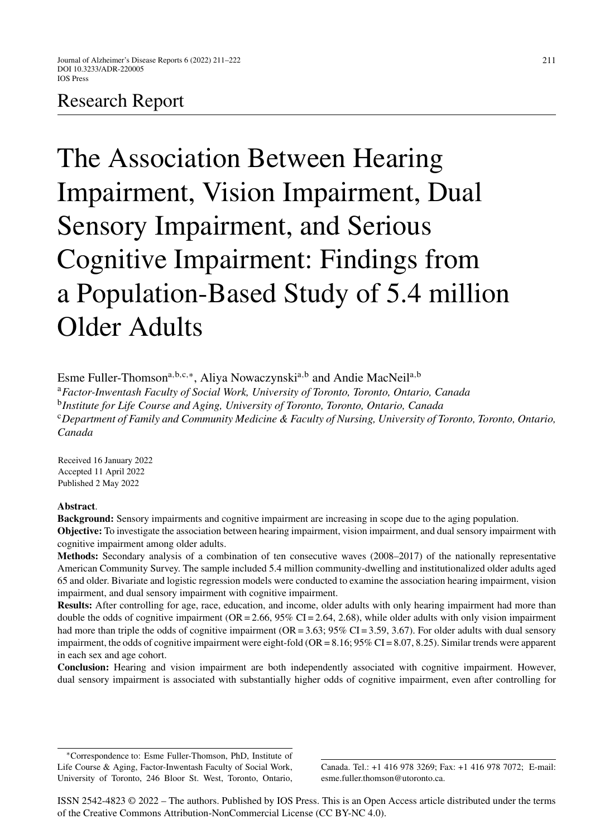# Research Report

# The Association Between Hearing Impairment, Vision Impairment, Dual Sensory Impairment, and Serious Cognitive Impairment: Findings from a Population-Based Study of 5.4 million Older Adults

Esme Fuller-Thomson<sup>a,b,c,∗</sup>, Aliya Nowaczynski<sup>a,b</sup> and Andie MacNeil<sup>a,b</sup>

<sup>a</sup>*Factor-Inwentash Faculty of Social Work, University of Toronto, Toronto, Ontario, Canada* <sup>b</sup>*Institute for Life Course and Aging, University of Toronto, Toronto, Ontario, Canada* <sup>c</sup>*Department of Family and Community Medicine & Faculty of Nursing, University of Toronto, Toronto, Ontario, Canada*

Received 16 January 2022 Accepted 11 April 2022 Published 2 May 2022

#### **Abstract**.

**Background:** Sensory impairments and cognitive impairment are increasing in scope due to the aging population. **Objective:** To investigate the association between hearing impairment, vision impairment, and dual sensory impairment with cognitive impairment among older adults.

**Methods:** Secondary analysis of a combination of ten consecutive waves (2008–2017) of the nationally representative American Community Survey. The sample included 5.4 million community-dwelling and institutionalized older adults aged 65 and older. Bivariate and logistic regression models were conducted to examine the association hearing impairment, vision impairment, and dual sensory impairment with cognitive impairment.

**Results:** After controlling for age, race, education, and income, older adults with only hearing impairment had more than double the odds of cognitive impairment (OR = 2.66, 95% CI = 2.64, 2.68), while older adults with only vision impairment had more than triple the odds of cognitive impairment (OR = 3.63; 95% CI = 3.59, 3.67). For older adults with dual sensory impairment, the odds of cognitive impairment were eight-fold ( $OR = 8.16$ ;  $95\%$  CI = 8.07, 8.25). Similar trends were apparent in each sex and age cohort.

**Conclusion:** Hearing and vision impairment are both independently associated with cognitive impairment. However, dual sensory impairment is associated with substantially higher odds of cognitive impairment, even after controlling for

Canada. Tel.: +1 416 978 3269; Fax: +1 416 978 7072; E-mail: [esme.fuller.thomson@utoronto.ca.](mailto:esme.fuller.thomson@utoronto.ca)

ISSN 2542-4823 © 2022 – The authors. Published by IOS Press. This is an Open Access article distributed under the terms of the [Creative Commons Attribution-NonCommercial License \(CC BY-NC 4.0\).](https://creativecommons.org/licenses/by-nc/4.0/)

<sup>∗</sup>Correspondence to: Esme Fuller-Thomson, PhD, Institute of Life Course & Aging, Factor-Inwentash Faculty of Social Work, University of Toronto, 246 Bloor St. West, Toronto, Ontario,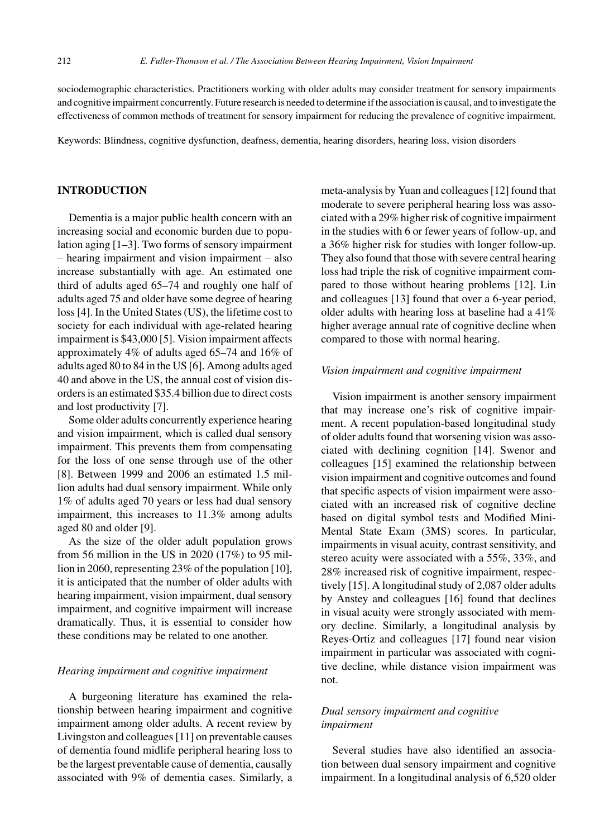sociodemographic characteristics. Practitioners working with older adults may consider treatment for sensory impairments and cognitive impairment concurrently. Future research is needed to determine if the association is causal, and to investigate the effectiveness of common methods of treatment for sensory impairment for reducing the prevalence of cognitive impairment.

Keywords: Blindness, cognitive dysfunction, deafness, dementia, hearing disorders, hearing loss, vision disorders

## **INTRODUCTION**

Dementia is a major public health concern with an increasing social and economic burden due to population aging [1–3]. Two forms of sensory impairment – hearing impairment and vision impairment – also increase substantially with age. An estimated one third of adults aged 65–74 and roughly one half of adults aged 75 and older have some degree of hearing loss [4]. In the United States (US), the lifetime cost to society for each individual with age-related hearing impairment is \$43,000 [5]. Vision impairment affects approximately 4% of adults aged 65–74 and 16% of adults aged 80 to 84 in the US [6]. Among adults aged 40 and above in the US, the annual cost of vision disorders is an estimated \$35.4 billion due to direct costs and lost productivity [7].

Some older adults concurrently experience hearing and vision impairment, which is called dual sensory impairment. This prevents them from compensating for the loss of one sense through use of the other [8]. Between 1999 and 2006 an estimated 1.5 million adults had dual sensory impairment. While only 1% of adults aged 70 years or less had dual sensory impairment, this increases to 11.3% among adults aged 80 and older [9].

As the size of the older adult population grows from 56 million in the US in 2020 (17%) to 95 million in 2060, representing 23% of the population [10], it is anticipated that the number of older adults with hearing impairment, vision impairment, dual sensory impairment, and cognitive impairment will increase dramatically. Thus, it is essential to consider how these conditions may be related to one another.

#### *Hearing impairment and cognitive impairment*

A burgeoning literature has examined the relationship between hearing impairment and cognitive impairment among older adults. A recent review by Livingston and colleagues [11] on preventable causes of dementia found midlife peripheral hearing loss to be the largest preventable cause of dementia, causally associated with 9% of dementia cases. Similarly, a meta-analysis by Yuan and colleagues [12] found that moderate to severe peripheral hearing loss was associated with a 29% higher risk of cognitive impairment in the studies with 6 or fewer years of follow-up, and a 36% higher risk for studies with longer follow-up. They also found that those with severe central hearing loss had triple the risk of cognitive impairment compared to those without hearing problems [12]. Lin and colleagues [13] found that over a 6-year period, older adults with hearing loss at baseline had a 41% higher average annual rate of cognitive decline when compared to those with normal hearing.

#### *Vision impairment and cognitive impairment*

Vision impairment is another sensory impairment that may increase one's risk of cognitive impairment. A recent population-based longitudinal study of older adults found that worsening vision was associated with declining cognition [14]. Swenor and colleagues [15] examined the relationship between vision impairment and cognitive outcomes and found that specific aspects of vision impairment were associated with an increased risk of cognitive decline based on digital symbol tests and Modified Mini-Mental State Exam (3MS) scores. In particular, impairments in visual acuity, contrast sensitivity, and stereo acuity were associated with a 55%, 33%, and 28% increased risk of cognitive impairment, respectively [15]. A longitudinal study of 2,087 older adults by Anstey and colleagues [16] found that declines in visual acuity were strongly associated with memory decline. Similarly, a longitudinal analysis by Reyes-Ortiz and colleagues [17] found near vision impairment in particular was associated with cognitive decline, while distance vision impairment was not.

# *Dual sensory impairment and cognitive impairment*

Several studies have also identified an association between dual sensory impairment and cognitive impairment. In a longitudinal analysis of 6,520 older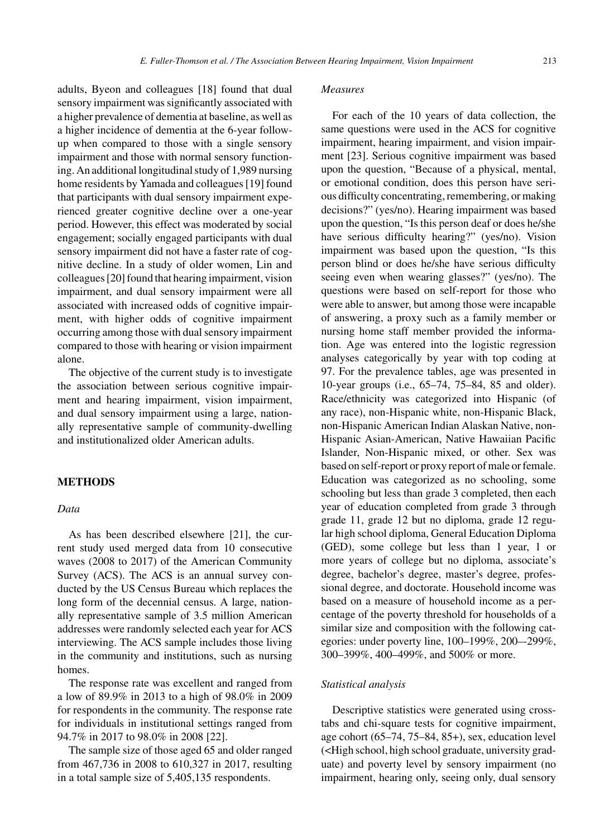adults, Byeon and colleagues [18] found that dual sensory impairment was significantly associated with a higher prevalence of dementia at baseline, as well as a higher incidence of dementia at the 6-year followup when compared to those with a single sensory impairment and those with normal sensory functioning. An additional longitudinal study of 1,989 nursing home residents by Yamada and colleagues [19] found that participants with dual sensory impairment experienced greater cognitive decline over a one-year period. However, this effect was moderated by social engagement; socially engaged participants with dual sensory impairment did not have a faster rate of cognitive decline. In a study of older women, Lin and colleagues [20] found that hearing impairment, vision impairment, and dual sensory impairment were all associated with increased odds of cognitive impairment, with higher odds of cognitive impairment occurring among those with dual sensory impairment compared to those with hearing or vision impairment alone.

The objective of the current study is to investigate the association between serious cognitive impairment and hearing impairment, vision impairment, and dual sensory impairment using a large, nationally representative sample of community-dwelling and institutionalized older American adults.

#### **METHODS**

#### *Data*

As has been described elsewhere [21], the current study used merged data from 10 consecutive waves (2008 to 2017) of the American Community Survey (ACS). The ACS is an annual survey conducted by the US Census Bureau which replaces the long form of the decennial census. A large, nationally representative sample of 3.5 million American addresses were randomly selected each year for ACS interviewing. The ACS sample includes those living in the community and institutions, such as nursing homes.

The response rate was excellent and ranged from a low of 89.9% in 2013 to a high of 98.0% in 2009 for respondents in the community. The response rate for individuals in institutional settings ranged from 94.7% in 2017 to 98.0% in 2008 [22].

The sample size of those aged 65 and older ranged from 467,736 in 2008 to 610,327 in 2017, resulting in a total sample size of 5,405,135 respondents.

#### *Measures*

For each of the 10 years of data collection, the same questions were used in the ACS for cognitive impairment, hearing impairment, and vision impairment [23]. Serious cognitive impairment was based upon the question, "Because of a physical, mental, or emotional condition, does this person have serious difficulty concentrating, remembering, or making decisions?" (yes/no). Hearing impairment was based upon the question, "Is this person deaf or does he/she have serious difficulty hearing?" (yes/no). Vision impairment was based upon the question, "Is this person blind or does he/she have serious difficulty seeing even when wearing glasses?" (yes/no). The questions were based on self-report for those who were able to answer, but among those were incapable of answering, a proxy such as a family member or nursing home staff member provided the information. Age was entered into the logistic regression analyses categorically by year with top coding at 97. For the prevalence tables, age was presented in 10-year groups (i.e., 65–74, 75–84, 85 and older). Race/ethnicity was categorized into Hispanic (of any race), non-Hispanic white, non-Hispanic Black, non-Hispanic American Indian Alaskan Native, non-Hispanic Asian-American, Native Hawaiian Pacific Islander, Non-Hispanic mixed, or other. Sex was based on self-report or proxy report of male or female. Education was categorized as no schooling, some schooling but less than grade 3 completed, then each year of education completed from grade 3 through grade 11, grade 12 but no diploma, grade 12 regular high school diploma, General Education Diploma (GED), some college but less than 1 year, 1 or more years of college but no diploma, associate's degree, bachelor's degree, master's degree, professional degree, and doctorate. Household income was based on a measure of household income as a percentage of the poverty threshold for households of a similar size and composition with the following categories: under poverty line, 100–199%, 200–-299%, 300–399%, 400–499%, and 500% or more.

#### *Statistical analysis*

Descriptive statistics were generated using crosstabs and chi-square tests for cognitive impairment, age cohort (65–74, 75–84, 85+), sex, education level (<High school, high school graduate, university graduate) and poverty level by sensory impairment (no impairment, hearing only, seeing only, dual sensory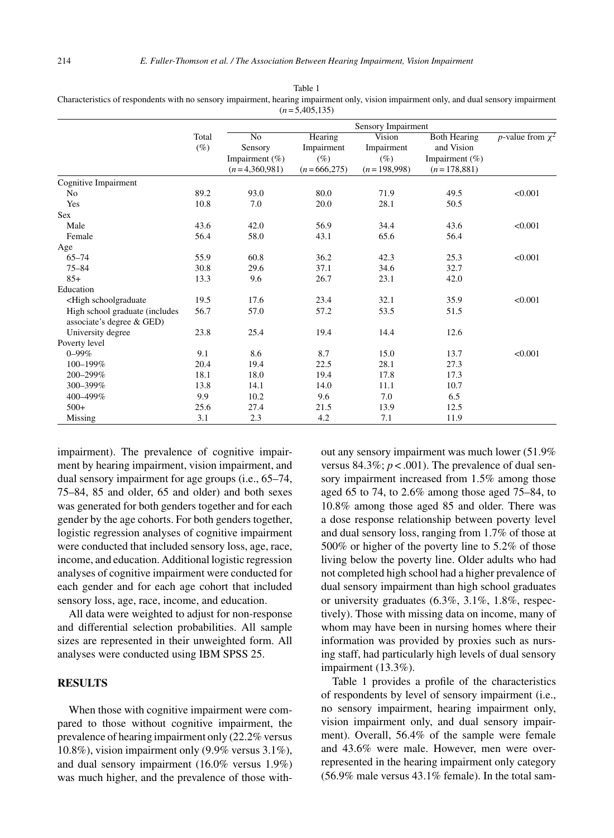| $(n=5,405,135)$                                                                                                            |                 |                                                        |                                                  |                                                 |                                                                          |                               |  |  |  |
|----------------------------------------------------------------------------------------------------------------------------|-----------------|--------------------------------------------------------|--------------------------------------------------|-------------------------------------------------|--------------------------------------------------------------------------|-------------------------------|--|--|--|
|                                                                                                                            |                 | Sensory Impairment                                     |                                                  |                                                 |                                                                          |                               |  |  |  |
|                                                                                                                            | Total<br>$(\%)$ | No<br>Sensory<br>Impairment $(\% )$<br>$(n=4,360,981)$ | Hearing<br>Impairment<br>$(\%)$<br>$(n=666,275)$ | Vision<br>Impairment<br>$(\%)$<br>$(n=198,998)$ | <b>Both Hearing</b><br>and Vision<br>Impairment $(\% )$<br>$(n=178,881)$ | <i>p</i> -value from $\chi^2$ |  |  |  |
| Cognitive Impairment                                                                                                       |                 |                                                        |                                                  |                                                 |                                                                          |                               |  |  |  |
| N <sub>0</sub>                                                                                                             | 89.2            | 93.0                                                   | 80.0                                             | 71.9                                            | 49.5                                                                     | < 0.001                       |  |  |  |
| Yes                                                                                                                        | 10.8            | 7.0                                                    | 20.0                                             | 28.1                                            | 50.5                                                                     |                               |  |  |  |
| <b>Sex</b>                                                                                                                 |                 |                                                        |                                                  |                                                 |                                                                          |                               |  |  |  |
| Male                                                                                                                       | 43.6            | 42.0                                                   | 56.9                                             | 34.4                                            | 43.6                                                                     | < 0.001                       |  |  |  |
| Female                                                                                                                     | 56.4            | 58.0                                                   | 43.1                                             | 65.6                                            | 56.4                                                                     |                               |  |  |  |
| Age                                                                                                                        |                 |                                                        |                                                  |                                                 |                                                                          |                               |  |  |  |
| $65 - 74$                                                                                                                  | 55.9            | 60.8                                                   | 36.2                                             | 42.3                                            | 25.3                                                                     | < 0.001                       |  |  |  |
| $75 - 84$                                                                                                                  | 30.8            | 29.6                                                   | 37.1                                             | 34.6                                            | 32.7                                                                     |                               |  |  |  |
| $85+$                                                                                                                      | 13.3            | 9.6                                                    | 26.7                                             | 23.1                                            | 42.0                                                                     |                               |  |  |  |
| Education                                                                                                                  |                 |                                                        |                                                  |                                                 |                                                                          |                               |  |  |  |
| <high schoolgraduate<="" td=""><td>19.5</td><td>17.6</td><td>23.4</td><td>32.1</td><td>35.9</td><td>&lt; 0.001</td></high> | 19.5            | 17.6                                                   | 23.4                                             | 32.1                                            | 35.9                                                                     | < 0.001                       |  |  |  |
| High school graduate (includes<br>associate's degree & GED)                                                                | 56.7            | 57.0                                                   | 57.2                                             | 53.5                                            | 51.5                                                                     |                               |  |  |  |
| University degree                                                                                                          | 23.8            | 25.4                                                   | 19.4                                             | 14.4                                            | 12.6                                                                     |                               |  |  |  |
| Poverty level                                                                                                              |                 |                                                        |                                                  |                                                 |                                                                          |                               |  |  |  |
| $0 - 99\%$                                                                                                                 | 9.1             | 8.6                                                    | 8.7                                              | 15.0                                            | 13.7                                                                     | < 0.001                       |  |  |  |
| 100-199%                                                                                                                   | 20.4            | 19.4                                                   | 22.5                                             | 28.1                                            | 27.3                                                                     |                               |  |  |  |
| 200-299%                                                                                                                   | 18.1            | 18.0                                                   | 19.4                                             | 17.8                                            | 17.3                                                                     |                               |  |  |  |
| 300-399%                                                                                                                   | 13.8            | 14.1                                                   | 14.0                                             | 11.1                                            | 10.7                                                                     |                               |  |  |  |
| 400-499%                                                                                                                   | 9.9             | 10.2                                                   | 9.6                                              | 7.0                                             | 6.5                                                                      |                               |  |  |  |
| $500+$                                                                                                                     | 25.6            | 27.4                                                   | 21.5                                             | 13.9                                            | 12.5                                                                     |                               |  |  |  |
| Missing                                                                                                                    | 3.1             | 2.3                                                    | 4.2                                              | 7.1                                             | 11.9                                                                     |                               |  |  |  |

Table 1 Characteristics of respondents with no sensory impairment, hearing impairment only, vision impairment only, and dual sensory impairment

impairment). The prevalence of cognitive impairment by hearing impairment, vision impairment, and dual sensory impairment for age groups (i.e., 65–74, 75–84, 85 and older, 65 and older) and both sexes was generated for both genders together and for each gender by the age cohorts. For both genders together, logistic regression analyses of cognitive impairment were conducted that included sensory loss, age, race, income, and education. Additional logistic regression analyses of cognitive impairment were conducted for each gender and for each age cohort that included sensory loss, age, race, income, and education.

All data were weighted to adjust for non-response and differential selection probabilities. All sample sizes are represented in their unweighted form. All analyses were conducted using IBM SPSS 25.

# **RESULTS**

When those with cognitive impairment were compared to those without cognitive impairment, the prevalence of hearing impairment only (22.2% versus 10.8%), vision impairment only (9.9% versus 3.1%), and dual sensory impairment (16.0% versus 1.9%) was much higher, and the prevalence of those without any sensory impairment was much lower (51.9% versus  $84.3\%$ ;  $p < .001$ ). The prevalence of dual sensory impairment increased from 1.5% among those aged 65 to 74, to 2.6% among those aged 75–84, to 10.8% among those aged 85 and older. There was a dose response relationship between poverty level and dual sensory loss, ranging from 1.7% of those at 500% or higher of the poverty line to 5.2% of those living below the poverty line. Older adults who had not completed high school had a higher prevalence of dual sensory impairment than high school graduates or university graduates (6.3%, 3.1%, 1.8%, respectively). Those with missing data on income, many of whom may have been in nursing homes where their information was provided by proxies such as nursing staff, had particularly high levels of dual sensory impairment (13.3%).

Table 1 provides a profile of the characteristics of respondents by level of sensory impairment (i.e., no sensory impairment, hearing impairment only, vision impairment only, and dual sensory impairment). Overall, 56.4% of the sample were female and 43.6% were male. However, men were overrepresented in the hearing impairment only category (56.9% male versus 43.1% female). In the total sam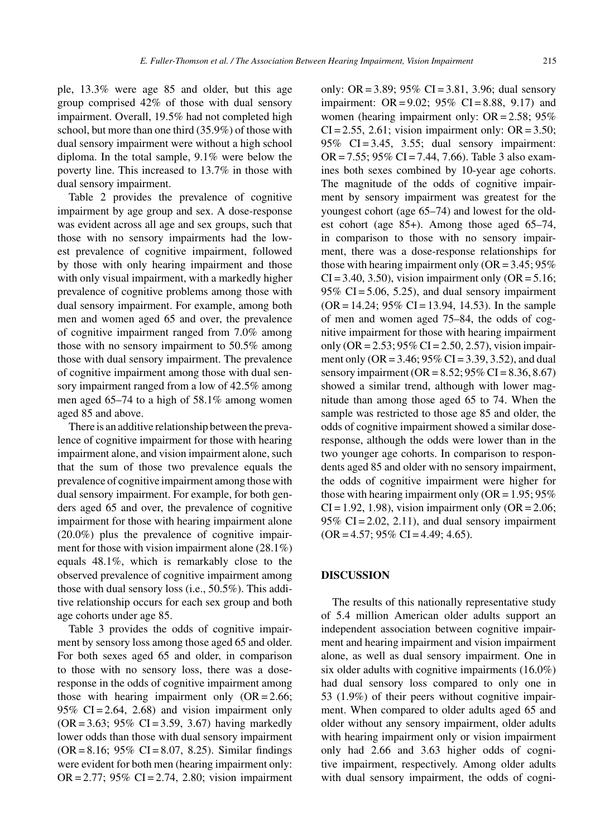ple, 13.3% were age 85 and older, but this age group comprised 42% of those with dual sensory impairment. Overall, 19.5% had not completed high school, but more than one third (35.9%) of those with dual sensory impairment were without a high school diploma. In the total sample, 9.1% were below the poverty line. This increased to 13.7% in those with dual sensory impairment.

Table 2 provides the prevalence of cognitive impairment by age group and sex. A dose-response was evident across all age and sex groups, such that those with no sensory impairments had the lowest prevalence of cognitive impairment, followed by those with only hearing impairment and those with only visual impairment, with a markedly higher prevalence of cognitive problems among those with dual sensory impairment. For example, among both men and women aged 65 and over, the prevalence of cognitive impairment ranged from 7.0% among those with no sensory impairment to 50.5% among those with dual sensory impairment. The prevalence of cognitive impairment among those with dual sensory impairment ranged from a low of 42.5% among men aged 65–74 to a high of 58.1% among women aged 85 and above.

There is an additive relationship between the prevalence of cognitive impairment for those with hearing impairment alone, and vision impairment alone, such that the sum of those two prevalence equals the prevalence of cognitive impairment among those with dual sensory impairment. For example, for both genders aged 65 and over, the prevalence of cognitive impairment for those with hearing impairment alone (20.0%) plus the prevalence of cognitive impairment for those with vision impairment alone (28.1%) equals 48.1%, which is remarkably close to the observed prevalence of cognitive impairment among those with dual sensory loss (i.e., 50.5%). This additive relationship occurs for each sex group and both age cohorts under age 85.

Table 3 provides the odds of cognitive impairment by sensory loss among those aged 65 and older. For both sexes aged 65 and older, in comparison to those with no sensory loss, there was a doseresponse in the odds of cognitive impairment among those with hearing impairment only  $(OR = 2.66)$ ; 95%  $CI = 2.64$ , 2.68) and vision impairment only  $(OR = 3.63; 95\% CI = 3.59, 3.67)$  having markedly lower odds than those with dual sensory impairment  $(OR = 8.16; 95\% CI = 8.07, 8.25)$ . Similar findings were evident for both men (hearing impairment only: OR = 2.77;  $95\%$  CI = 2.74, 2.80; vision impairment only: OR = 3.89;  $95\%$  CI = 3.81, 3.96; dual sensory impairment: OR =  $9.02$ ;  $95\%$  CI = 8.88, 9.17) and women (hearing impairment only: OR = 2.58; 95%  $CI = 2.55$ , 2.61; vision impairment only:  $OR = 3.50$ ;  $95\%$  CI = 3.45, 3.55; dual sensory impairment: OR = 7.55; 95% CI = 7.44, 7.66). Table 3 also examines both sexes combined by 10-year age cohorts. The magnitude of the odds of cognitive impairment by sensory impairment was greatest for the youngest cohort (age 65–74) and lowest for the oldest cohort (age 85+). Among those aged 65–74, in comparison to those with no sensory impairment, there was a dose-response relationships for those with hearing impairment only ( $OR = 3.45$ ;  $95\%$ )  $CI = 3.40, 3.50$ , vision impairment only  $(OR = 5.16;$ 95% CI =  $5.06$ ,  $5.25$ ), and dual sensory impairment  $(OR = 14.24; 95\% CI = 13.94, 14.53)$ . In the sample of men and women aged 75–84, the odds of cognitive impairment for those with hearing impairment only (OR =  $2.53$ ; 95% CI =  $2.50$ , 2.57), vision impairment only (OR = 3.46;  $95\%$  CI = 3.39, 3.52), and dual sensory impairment ( $OR = 8.52$ ;  $95\% CI = 8.36, 8.67$ ) showed a similar trend, although with lower magnitude than among those aged 65 to 74. When the sample was restricted to those age 85 and older, the odds of cognitive impairment showed a similar doseresponse, although the odds were lower than in the two younger age cohorts. In comparison to respondents aged 85 and older with no sensory impairment, the odds of cognitive impairment were higher for those with hearing impairment only ( $OR = 1.95$ ;  $95\%$  $CI = 1.92$ , 1.98), vision impairment only  $(OR = 2.06;$ 95% CI = 2.02, 2.11), and dual sensory impairment  $(OR = 4.57; 95\% CI = 4.49; 4.65).$ 

#### **DISCUSSION**

The results of this nationally representative study of 5.4 million American older adults support an independent association between cognitive impairment and hearing impairment and vision impairment alone, as well as dual sensory impairment. One in six older adults with cognitive impairments (16.0%) had dual sensory loss compared to only one in 53 (1.9%) of their peers without cognitive impairment. When compared to older adults aged 65 and older without any sensory impairment, older adults with hearing impairment only or vision impairment only had 2.66 and 3.63 higher odds of cognitive impairment, respectively. Among older adults with dual sensory impairment, the odds of cogni-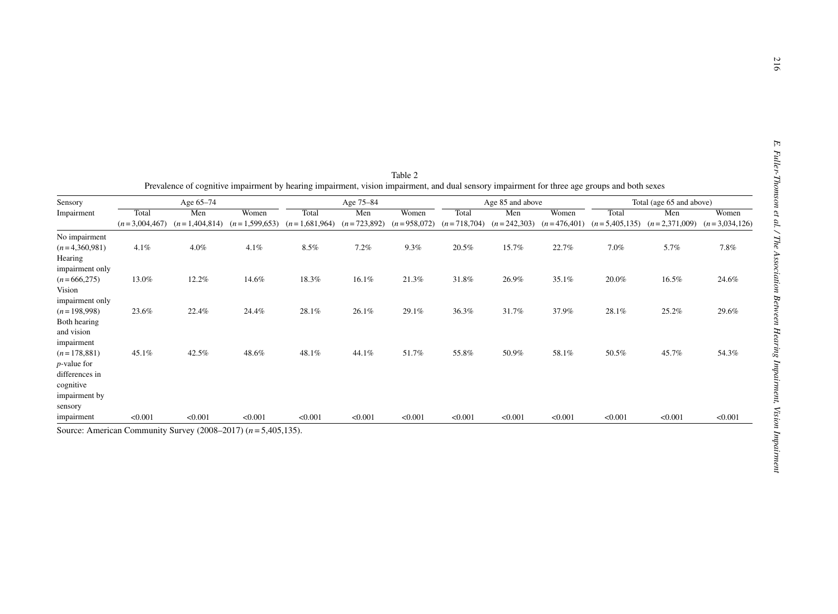| Sensory<br>Age 65-74 |                           |         | Age 75-84                                |                          |                      | Age 85 and above       |         |                                                  | Total (age 65 and above) |                          |                        |                          |
|----------------------|---------------------------|---------|------------------------------------------|--------------------------|----------------------|------------------------|---------|--------------------------------------------------|--------------------------|--------------------------|------------------------|--------------------------|
| Impairment           | Total<br>$(n=3.004, 467)$ | Men     | Women<br>$(n=1,404,814)$ $(n=1,599,653)$ | Total<br>$(n=1.681,964)$ | Men<br>$(n=723,892)$ | Women<br>$(n=958,072)$ | Total   | Men<br>$(n=718,704)$ $(n=242,303)$ $(n=476,401)$ | Women                    | Total<br>$(n=5,405,135)$ | Men<br>$(n=2,371,009)$ | Women<br>$(n=3,034,126)$ |
| No impairment        |                           |         |                                          |                          |                      |                        |         |                                                  |                          |                          |                        |                          |
| $(n=4,360,981)$      | 4.1%                      | 4.0%    | 4.1%                                     | $8.5\%$                  | 7.2%                 | 9.3%                   | 20.5%   | 15.7%                                            | 22.7%                    | 7.0%                     | 5.7%                   | 7.8%                     |
| Hearing              |                           |         |                                          |                          |                      |                        |         |                                                  |                          |                          |                        |                          |
| impairment only      |                           |         |                                          |                          |                      |                        |         |                                                  |                          |                          |                        |                          |
| $(n=666,275)$        | 13.0%                     | 12.2%   | 14.6%                                    | 18.3%                    | 16.1%                | 21.3%                  | 31.8%   | 26.9%                                            | 35.1%                    | 20.0%                    | 16.5%                  | 24.6%                    |
| Vision               |                           |         |                                          |                          |                      |                        |         |                                                  |                          |                          |                        |                          |
| impairment only      |                           |         |                                          |                          |                      |                        |         |                                                  |                          |                          |                        |                          |
| $(n=198,998)$        | 23.6%                     | 22.4%   | 24.4%                                    | 28.1%                    | 26.1%                | 29.1%                  | 36.3%   | 31.7%                                            | 37.9%                    | 28.1%                    | 25.2%                  | 29.6%                    |
| Both hearing         |                           |         |                                          |                          |                      |                        |         |                                                  |                          |                          |                        |                          |
| and vision           |                           |         |                                          |                          |                      |                        |         |                                                  |                          |                          |                        |                          |
| impairment           |                           |         |                                          |                          |                      |                        |         |                                                  |                          |                          |                        |                          |
| $(n=178,881)$        | 45.1%                     | 42.5%   | 48.6%                                    | 48.1%                    | 44.1%                | 51.7%                  | 55.8%   | 50.9%                                            | 58.1%                    | 50.5%                    | 45.7%                  | 54.3%                    |
| $p$ -value for       |                           |         |                                          |                          |                      |                        |         |                                                  |                          |                          |                        |                          |
| differences in       |                           |         |                                          |                          |                      |                        |         |                                                  |                          |                          |                        |                          |
| cognitive            |                           |         |                                          |                          |                      |                        |         |                                                  |                          |                          |                        |                          |
| impairment by        |                           |         |                                          |                          |                      |                        |         |                                                  |                          |                          |                        |                          |
| sensory              |                           |         |                                          |                          |                      |                        |         |                                                  |                          |                          |                        |                          |
| impairment           | < 0.001                   | < 0.001 | < 0.001                                  | < 0.001                  | < 0.001              | < 0.001                | < 0.001 | < 0.001                                          | < 0.001                  | < 0.001                  | < 0.001                | < 0.001                  |

| Table 2                                                                                                                                      |
|----------------------------------------------------------------------------------------------------------------------------------------------|
| Prevalence of cognitive impairment by hearing impairment, vision impairment, and dual sensory impairment for three age groups and both sexes |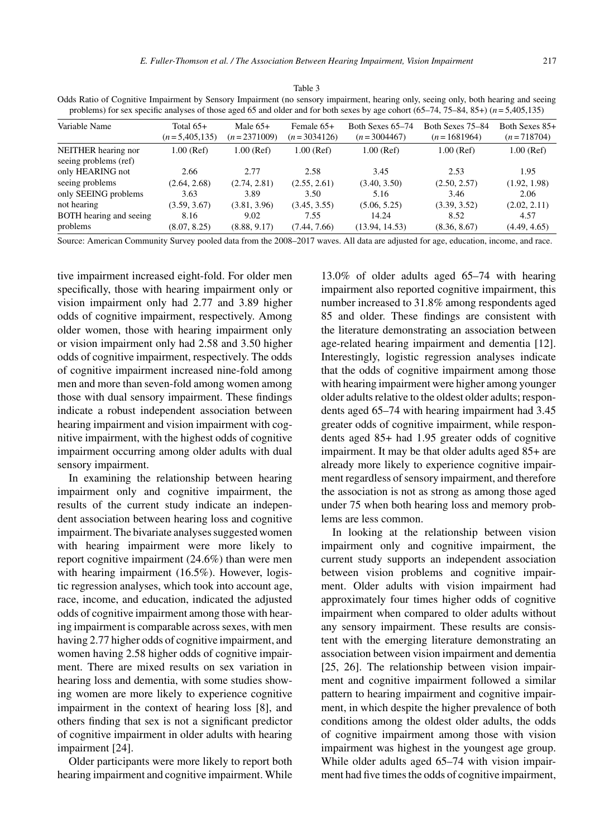| problems) for sex specific analyses of those aged 65 and older and for both sexes by age cohort $(65-74, 75-84, 85+)$ $(n=5,405,135)$ |                                |                             |                             |                                   |                                   |                                |  |  |  |
|---------------------------------------------------------------------------------------------------------------------------------------|--------------------------------|-----------------------------|-----------------------------|-----------------------------------|-----------------------------------|--------------------------------|--|--|--|
| Variable Name                                                                                                                         | Total $65+$<br>$(n=5,405,135)$ | Male $65+$<br>$(n=2371009)$ | Female 65+<br>$(n=3034126)$ | Both Sexes 65–74<br>$(n=3004467)$ | Both Sexes 75–84<br>$(n=1681964)$ | Both Sexes 85+<br>$(n=718704)$ |  |  |  |
| NEITHER hearing nor<br>seeing problems (ref)                                                                                          | $1.00$ (Ref)                   | $1.00$ (Ref)                | $1.00$ (Ref)                | $1.00$ (Ref)                      | $1.00$ (Ref)                      | $1.00$ (Ref)                   |  |  |  |
| only HEARING not                                                                                                                      | 2.66                           | 2.77                        | 2.58                        | 3.45                              | 2.53                              | 1.95                           |  |  |  |
| seeing problems                                                                                                                       | (2.64, 2.68)                   | (2.74, 2.81)                | (2.55, 2.61)                | (3.40, 3.50)                      | (2.50, 2.57)                      | (1.92, 1.98)                   |  |  |  |
| only SEEING problems                                                                                                                  | 3.63                           | 3.89                        | 3.50                        | 5.16                              | 3.46                              | 2.06                           |  |  |  |
| not hearing                                                                                                                           | (3.59, 3.67)                   | (3.81, 3.96)                | (3.45, 3.55)                | (5.06, 5.25)                      | (3.39, 3.52)                      | (2.02, 2.11)                   |  |  |  |
| BOTH hearing and seeing                                                                                                               | 8.16                           | 9.02                        | 7.55                        | 14.24                             | 8.52                              | 4.57                           |  |  |  |
| problems                                                                                                                              | (8.07, 8.25)                   | (8.88, 9.17)                | (7.44, 7.66)                | (13.94, 14.53)                    | (8.36, 8.67)                      | (4.49, 4.65)                   |  |  |  |

Table 3 Odds Ratio of Cognitive Impairment by Sensory Impairment (no sensory impairment, hearing only, seeing only, both hearing and seeing

Source: American Community Survey pooled data from the 2008–2017 waves. All data are adjusted for age, education, income, and race.

tive impairment increased eight-fold. For older men specifically, those with hearing impairment only or vision impairment only had 2.77 and 3.89 higher odds of cognitive impairment, respectively. Among older women, those with hearing impairment only or vision impairment only had 2.58 and 3.50 higher odds of cognitive impairment, respectively. The odds of cognitive impairment increased nine-fold among men and more than seven-fold among women among those with dual sensory impairment. These findings indicate a robust independent association between hearing impairment and vision impairment with cognitive impairment, with the highest odds of cognitive impairment occurring among older adults with dual sensory impairment.

In examining the relationship between hearing impairment only and cognitive impairment, the results of the current study indicate an independent association between hearing loss and cognitive impairment. The bivariate analyses suggested women with hearing impairment were more likely to report cognitive impairment (24.6%) than were men with hearing impairment (16.5%). However, logistic regression analyses, which took into account age, race, income, and education, indicated the adjusted odds of cognitive impairment among those with hearing impairment is comparable across sexes, with men having 2.77 higher odds of cognitive impairment, and women having 2.58 higher odds of cognitive impairment. There are mixed results on sex variation in hearing loss and dementia, with some studies showing women are more likely to experience cognitive impairment in the context of hearing loss [8], and others finding that sex is not a significant predictor of cognitive impairment in older adults with hearing impairment [24].

Older participants were more likely to report both hearing impairment and cognitive impairment. While

13.0% of older adults aged 65–74 with hearing impairment also reported cognitive impairment, this number increased to 31.8% among respondents aged 85 and older. These findings are consistent with the literature demonstrating an association between age-related hearing impairment and dementia [12]. Interestingly, logistic regression analyses indicate that the odds of cognitive impairment among those with hearing impairment were higher among younger older adults relative to the oldest older adults; respondents aged 65–74 with hearing impairment had 3.45 greater odds of cognitive impairment, while respondents aged 85+ had 1.95 greater odds of cognitive impairment. It may be that older adults aged 85+ are already more likely to experience cognitive impairment regardless of sensory impairment, and therefore the association is not as strong as among those aged under 75 when both hearing loss and memory problems are less common.

In looking at the relationship between vision impairment only and cognitive impairment, the current study supports an independent association between vision problems and cognitive impairment. Older adults with vision impairment had approximately four times higher odds of cognitive impairment when compared to older adults without any sensory impairment. These results are consistent with the emerging literature demonstrating an association between vision impairment and dementia [25, 26]. The relationship between vision impairment and cognitive impairment followed a similar pattern to hearing impairment and cognitive impairment, in which despite the higher prevalence of both conditions among the oldest older adults, the odds of cognitive impairment among those with vision impairment was highest in the youngest age group. While older adults aged 65–74 with vision impairment had five times the odds of cognitive impairment,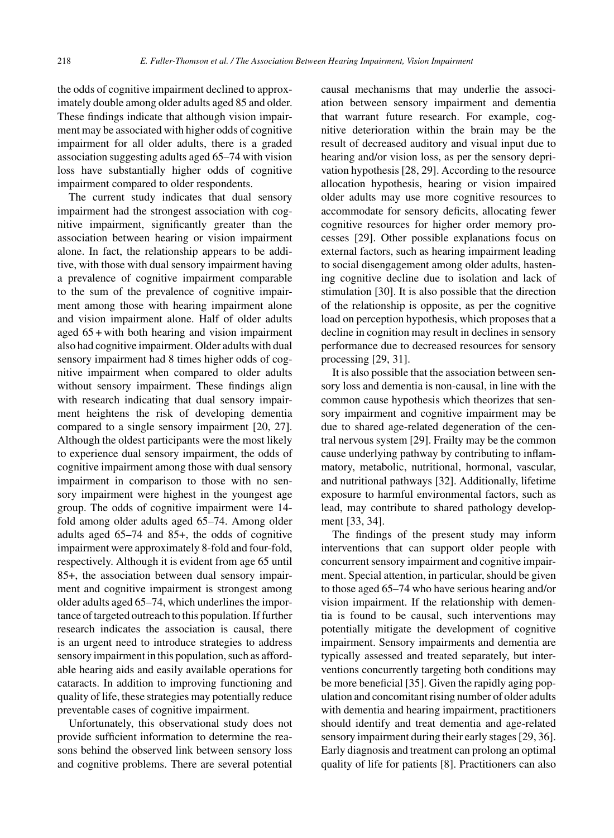the odds of cognitive impairment declined to approximately double among older adults aged 85 and older. These findings indicate that although vision impairment may be associated with higher odds of cognitive impairment for all older adults, there is a graded association suggesting adults aged 65–74 with vision loss have substantially higher odds of cognitive impairment compared to older respondents.

The current study indicates that dual sensory impairment had the strongest association with cognitive impairment, significantly greater than the association between hearing or vision impairment alone. In fact, the relationship appears to be additive, with those with dual sensory impairment having a prevalence of cognitive impairment comparable to the sum of the prevalence of cognitive impairment among those with hearing impairment alone and vision impairment alone. Half of older adults aged 65 + with both hearing and vision impairment also had cognitive impairment. Older adults with dual sensory impairment had 8 times higher odds of cognitive impairment when compared to older adults without sensory impairment. These findings align with research indicating that dual sensory impairment heightens the risk of developing dementia compared to a single sensory impairment [20, 27]. Although the oldest participants were the most likely to experience dual sensory impairment, the odds of cognitive impairment among those with dual sensory impairment in comparison to those with no sensory impairment were highest in the youngest age group. The odds of cognitive impairment were 14 fold among older adults aged 65–74. Among older adults aged 65–74 and 85+, the odds of cognitive impairment were approximately 8-fold and four-fold, respectively. Although it is evident from age 65 until 85+, the association between dual sensory impairment and cognitive impairment is strongest among older adults aged 65–74, which underlines the importance of targeted outreach to this population. If further research indicates the association is causal, there is an urgent need to introduce strategies to address sensory impairment in this population, such as affordable hearing aids and easily available operations for cataracts. In addition to improving functioning and quality of life, these strategies may potentially reduce preventable cases of cognitive impairment.

Unfortunately, this observational study does not provide sufficient information to determine the reasons behind the observed link between sensory loss and cognitive problems. There are several potential causal mechanisms that may underlie the association between sensory impairment and dementia that warrant future research. For example, cognitive deterioration within the brain may be the result of decreased auditory and visual input due to hearing and/or vision loss, as per the sensory deprivation hypothesis [28, 29]. According to the resource allocation hypothesis, hearing or vision impaired older adults may use more cognitive resources to accommodate for sensory deficits, allocating fewer cognitive resources for higher order memory processes [29]. Other possible explanations focus on external factors, such as hearing impairment leading to social disengagement among older adults, hastening cognitive decline due to isolation and lack of stimulation [30]. It is also possible that the direction of the relationship is opposite, as per the cognitive load on perception hypothesis, which proposes that a decline in cognition may result in declines in sensory performance due to decreased resources for sensory processing [29, 31].

It is also possible that the association between sensory loss and dementia is non-causal, in line with the common cause hypothesis which theorizes that sensory impairment and cognitive impairment may be due to shared age-related degeneration of the central nervous system [29]. Frailty may be the common cause underlying pathway by contributing to inflammatory, metabolic, nutritional, hormonal, vascular, and nutritional pathways [32]. Additionally, lifetime exposure to harmful environmental factors, such as lead, may contribute to shared pathology development [33, 34].

The findings of the present study may inform interventions that can support older people with concurrent sensory impairment and cognitive impairment. Special attention, in particular, should be given to those aged 65–74 who have serious hearing and/or vision impairment. If the relationship with dementia is found to be causal, such interventions may potentially mitigate the development of cognitive impairment. Sensory impairments and dementia are typically assessed and treated separately, but interventions concurrently targeting both conditions may be more beneficial [35]. Given the rapidly aging population and concomitant rising number of older adults with dementia and hearing impairment, practitioners should identify and treat dementia and age-related sensory impairment during their early stages [29, 36]. Early diagnosis and treatment can prolong an optimal quality of life for patients [8]. Practitioners can also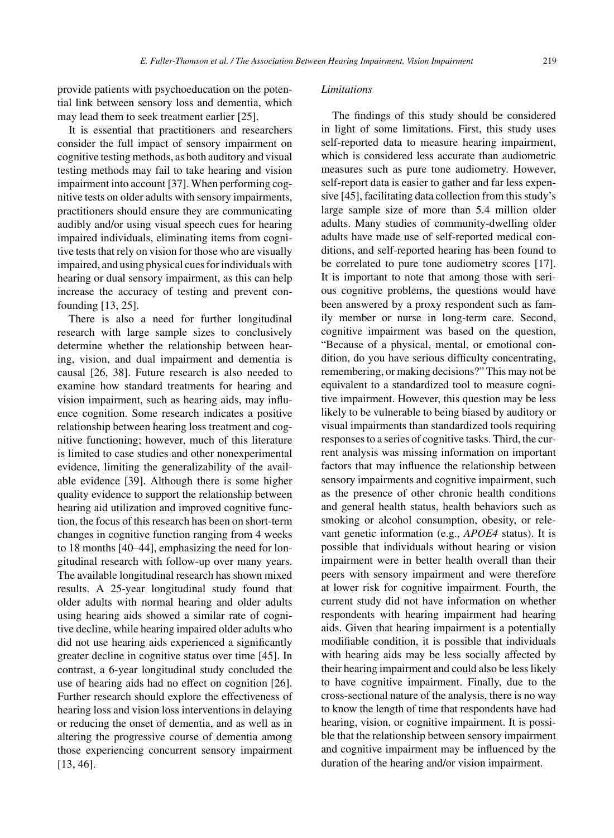provide patients with psychoeducation on the potential link between sensory loss and dementia, which may lead them to seek treatment earlier [25].

It is essential that practitioners and researchers consider the full impact of sensory impairment on cognitive testing methods, as both auditory and visual testing methods may fail to take hearing and vision impairment into account [37]. When performing cognitive tests on older adults with sensory impairments, practitioners should ensure they are communicating audibly and/or using visual speech cues for hearing impaired individuals, eliminating items from cognitive tests that rely on vision for those who are visually impaired, and using physical cues for individuals with hearing or dual sensory impairment, as this can help increase the accuracy of testing and prevent confounding [13, 25].

There is also a need for further longitudinal research with large sample sizes to conclusively determine whether the relationship between hearing, vision, and dual impairment and dementia is causal [26, 38]. Future research is also needed to examine how standard treatments for hearing and vision impairment, such as hearing aids, may influence cognition. Some research indicates a positive relationship between hearing loss treatment and cognitive functioning; however, much of this literature is limited to case studies and other nonexperimental evidence, limiting the generalizability of the available evidence [39]. Although there is some higher quality evidence to support the relationship between hearing aid utilization and improved cognitive function, the focus of this research has been on short-term changes in cognitive function ranging from 4 weeks to 18 months [40–44], emphasizing the need for longitudinal research with follow-up over many years. The available longitudinal research has shown mixed results. A 25-year longitudinal study found that older adults with normal hearing and older adults using hearing aids showed a similar rate of cognitive decline, while hearing impaired older adults who did not use hearing aids experienced a significantly greater decline in cognitive status over time [45]. In contrast, a 6-year longitudinal study concluded the use of hearing aids had no effect on cognition [26]. Further research should explore the effectiveness of hearing loss and vision loss interventions in delaying or reducing the onset of dementia, and as well as in altering the progressive course of dementia among those experiencing concurrent sensory impairment [13, 46].

#### *Limitations*

The findings of this study should be considered in light of some limitations. First, this study uses self-reported data to measure hearing impairment, which is considered less accurate than audiometric measures such as pure tone audiometry. However, self-report data is easier to gather and far less expensive [45], facilitating data collection from this study's large sample size of more than 5.4 million older adults. Many studies of community-dwelling older adults have made use of self-reported medical conditions, and self-reported hearing has been found to be correlated to pure tone audiometry scores [17]. It is important to note that among those with serious cognitive problems, the questions would have been answered by a proxy respondent such as family member or nurse in long-term care. Second, cognitive impairment was based on the question, "Because of a physical, mental, or emotional condition, do you have serious difficulty concentrating, remembering, or making decisions?" This may not be equivalent to a standardized tool to measure cognitive impairment. However, this question may be less likely to be vulnerable to being biased by auditory or visual impairments than standardized tools requiring responses to a series of cognitive tasks. Third, the current analysis was missing information on important factors that may influence the relationship between sensory impairments and cognitive impairment, such as the presence of other chronic health conditions and general health status, health behaviors such as smoking or alcohol consumption, obesity, or relevant genetic information (e.g., *APOE4* status). It is possible that individuals without hearing or vision impairment were in better health overall than their peers with sensory impairment and were therefore at lower risk for cognitive impairment. Fourth, the current study did not have information on whether respondents with hearing impairment had hearing aids. Given that hearing impairment is a potentially modifiable condition, it is possible that individuals with hearing aids may be less socially affected by their hearing impairment and could also be less likely to have cognitive impairment. Finally, due to the cross-sectional nature of the analysis, there is no way to know the length of time that respondents have had hearing, vision, or cognitive impairment. It is possible that the relationship between sensory impairment and cognitive impairment may be influenced by the duration of the hearing and/or vision impairment.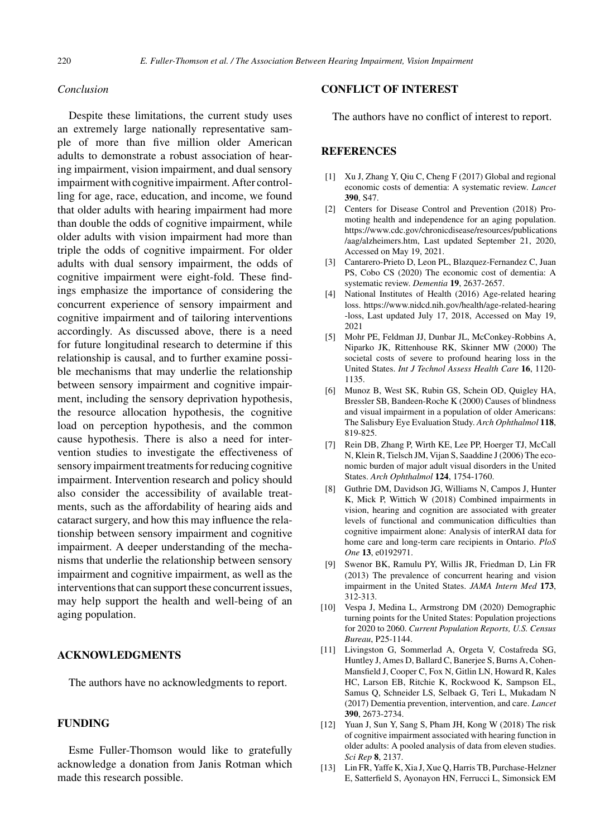## *Conclusion*

Despite these limitations, the current study uses an extremely large nationally representative sample of more than five million older American adults to demonstrate a robust association of hearing impairment, vision impairment, and dual sensory impairment with cognitive impairment. After controlling for age, race, education, and income, we found that older adults with hearing impairment had more than double the odds of cognitive impairment, while older adults with vision impairment had more than triple the odds of cognitive impairment. For older adults with dual sensory impairment, the odds of cognitive impairment were eight-fold. These findings emphasize the importance of considering the concurrent experience of sensory impairment and cognitive impairment and of tailoring interventions accordingly. As discussed above, there is a need for future longitudinal research to determine if this relationship is causal, and to further examine possible mechanisms that may underlie the relationship between sensory impairment and cognitive impairment, including the sensory deprivation hypothesis, the resource allocation hypothesis, the cognitive load on perception hypothesis, and the common cause hypothesis. There is also a need for intervention studies to investigate the effectiveness of sensory impairment treatments for reducing cognitive impairment. Intervention research and policy should also consider the accessibility of available treatments, such as the affordability of hearing aids and cataract surgery, and how this may influence the relationship between sensory impairment and cognitive impairment. A deeper understanding of the mechanisms that underlie the relationship between sensory impairment and cognitive impairment, as well as the interventions that can support these concurrent issues, may help support the health and well-being of an aging population.

#### **ACKNOWLEDGMENTS**

The authors have no acknowledgments to report.

#### **FUNDING**

Esme Fuller-Thomson would like to gratefully acknowledge a donation from Janis Rotman which made this research possible.

#### **CONFLICT OF INTEREST**

The authors have no conflict of interest to report.

#### **REFERENCES**

- [1] Xu J, Zhang Y, Qiu C, Cheng F (2017) Global and regional economic costs of dementia: A systematic review. *Lancet* **390**, S47.
- [2] Centers for Disease Control and Prevention (2018) Promoting health and independence for an aging population. [https://www.cdc.gov/chronicdisease/resources/publications](https://www.cdc.gov/chronicdisease/resources/publications/aag/alzheimers.htm) [/aag/alzheimers.htm](https://www.cdc.gov/chronicdisease/resources/publications/aag/alzheimers.htm), Last updated September 21, 2020, Accessed on May 19, 2021.
- [3] Cantarero-Prieto D, Leon PL, Blazquez-Fernandez C, Juan PS, Cobo CS (2020) The economic cost of dementia: A systematic review. *Dementia* **19**, 2637-2657.
- [4] National Institutes of Health (2016) Age-related hearing loss. [https://www.nidcd.nih.gov/health/age-related-hearing](https://www.nidcd.nih.gov/health/age-related-hearing-loss) [-loss,](https://www.nidcd.nih.gov/health/age-related-hearing-loss) Last updated July 17, 2018, Accessed on May 19, 2021
- [5] Mohr PE, Feldman JJ, Dunbar JL, McConkey-Robbins A, Niparko JK, Rittenhouse RK, Skinner MW (2000) The societal costs of severe to profound hearing loss in the United States. *Int J Technol Assess Health Care* **16**, 1120- 1135.
- [6] Munoz B, West SK, Rubin GS, Schein OD, Quigley HA, Bressler SB, Bandeen-Roche K (2000) Causes of blindness and visual impairment in a population of older Americans: The Salisbury Eye Evaluation Study. *Arch Ophthalmol* **118**, 819-825.
- [7] Rein DB, Zhang P, Wirth KE, Lee PP, Hoerger TJ, McCall N, Klein R, Tielsch JM, Vijan S, Saaddine J (2006) The economic burden of major adult visual disorders in the United States. *Arch Ophthalmol* **124**, 1754-1760.
- [8] Guthrie DM, Davidson JG, Williams N, Campos J, Hunter K, Mick P, Wittich W (2018) Combined impairments in vision, hearing and cognition are associated with greater levels of functional and communication difficulties than cognitive impairment alone: Analysis of interRAI data for home care and long-term care recipients in Ontario. *PloS One* **13**, e0192971.
- [9] Swenor BK, Ramulu PY, Willis JR, Friedman D, Lin FR (2013) The prevalence of concurrent hearing and vision impairment in the United States. *JAMA Intern Med* **173**, 312-313.
- [10] Vespa J, Medina L, Armstrong DM (2020) Demographic turning points for the United States: Population projections for 2020 to 2060. *Current Population Reports, U.S. Census Bureau*, P25-1144.
- [11] Livingston G, Sommerlad A, Orgeta V, Costafreda SG, Huntley J, Ames D, Ballard C, Banerjee S, Burns A, Cohen-Mansfield J, Cooper C, Fox N, Gitlin LN, Howard R, Kales HC, Larson EB, Ritchie K, Rockwood K, Sampson EL, Samus Q, Schneider LS, Selbaek G, Teri L, Mukadam N (2017) Dementia prevention, intervention, and care. *Lancet* **390**, 2673-2734.
- [12] Yuan J, Sun Y, Sang S, Pham JH, Kong W (2018) The risk of cognitive impairment associated with hearing function in older adults: A pooled analysis of data from eleven studies. *Sci Rep* **8**, 2137.
- [13] Lin FR, Yaffe K, Xia J, Xue Q, Harris TB, Purchase-Helzner E, Satterfield S, Ayonayon HN, Ferrucci L, Simonsick EM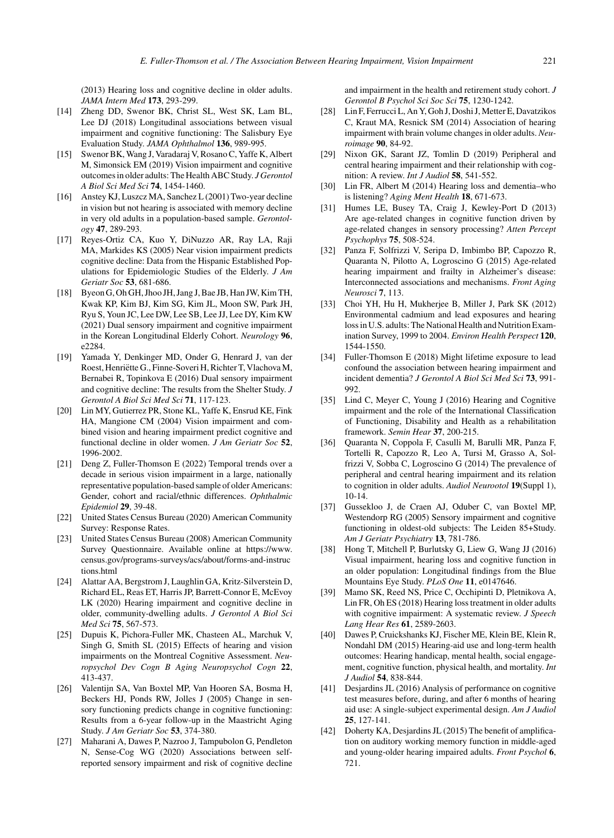(2013) Hearing loss and cognitive decline in older adults. *JAMA Intern Med* **173**, 293-299.

- [14] Zheng DD, Swenor BK, Christ SL, West SK, Lam BL, Lee DJ (2018) Longitudinal associations between visual impairment and cognitive functioning: The Salisbury Eye Evaluation Study. *JAMA Ophthalmol* **136**, 989-995.
- [15] Swenor BK, Wang J, Varadaraj V, Rosano C, Yaffe K, Albert M, Simonsick EM (2019) Vision impairment and cognitive outcomes in older adults: The Health ABC Study. *J Gerontol A Biol Sci Med Sci* **74**, 1454-1460.
- [16] Anstey KJ, Luszcz MA, Sanchez L (2001) Two-year decline in vision but not hearing is associated with memory decline in very old adults in a population-based sample. *Gerontology* **47**, 289-293.
- [17] Reyes-Ortiz CA, Kuo Y, DiNuzzo AR, Ray LA, Raji MA, Markides KS (2005) Near vision impairment predicts cognitive decline: Data from the Hispanic Established Populations for Epidemiologic Studies of the Elderly. *J Am Geriatr Soc* **53**, 681-686.
- [18] Byeon G, Oh GH, Jhoo JH, Jang J, Bae JB, Han JW, Kim TH, Kwak KP, Kim BJ, Kim SG, Kim JL, Moon SW, Park JH, Ryu S, Youn JC, Lee DW, Lee SB, Lee JJ, Lee DY, Kim KW (2021) Dual sensory impairment and cognitive impairment in the Korean Longitudinal Elderly Cohort. *Neurology* **96**, e2284.
- [19] Yamada Y, Denkinger MD, Onder G, Henrard J, van der Roest, Henriëtte G., Finne-Soveri H, Richter T, Vlachova M, Bernabei R, Topinkova E (2016) Dual sensory impairment and cognitive decline: The results from the Shelter Study. *J Gerontol A Biol Sci Med Sci* **71**, 117-123.
- [20] Lin MY, Gutierrez PR, Stone KL, Yaffe K, Ensrud KE, Fink HA, Mangione CM (2004) Vision impairment and combined vision and hearing impairment predict cognitive and functional decline in older women. *J Am Geriatr Soc* **52**, 1996-2002.
- [21] Deng Z, Fuller-Thomson E (2022) Temporal trends over a decade in serious vision impairment in a large, nationally representative population-based sample of older Americans: Gender, cohort and racial/ethnic differences. *Ophthalmic Epidemiol* **29**, 39-48.
- [22] United States Census Bureau (2020) American Community Survey: Response Rates.
- [23] United States Census Bureau (2008) American Community Survey Questionnaire. Available online at [https://www.](https://www.census.gov/programs-surveys/acs/about/forms-and-instructions.html) [census.gov/programs-surveys/acs/about/forms-and-instruc](https://www.census.gov/programs-surveys/acs/about/forms-and-instructions.html) [tions.html](https://www.census.gov/programs-surveys/acs/about/forms-and-instructions.html)
- [24] Alattar AA, Bergstrom J, Laughlin GA, Kritz-Silverstein D, Richard EL, Reas ET, Harris JP, Barrett-Connor E, McEvoy LK (2020) Hearing impairment and cognitive decline in older, community-dwelling adults. *J Gerontol A Biol Sci Med Sci* **75**, 567-573.
- [25] Dupuis K, Pichora-Fuller MK, Chasteen AL, Marchuk V, Singh G, Smith SL (2015) Effects of hearing and vision impairments on the Montreal Cognitive Assessment. *Neuropsychol Dev Cogn B Aging Neuropsychol Cogn* **22**, 413-437.
- [26] Valentijn SA, Van Boxtel MP, Van Hooren SA, Bosma H, Beckers HJ, Ponds RW, Jolles J (2005) Change in sensory functioning predicts change in cognitive functioning: Results from a 6-year follow-up in the Maastricht Aging Study. *J Am Geriatr Soc* **53**, 374-380.
- [27] Maharani A, Dawes P, Nazroo J, Tampubolon G, Pendleton N, Sense-Cog WG (2020) Associations between selfreported sensory impairment and risk of cognitive decline

and impairment in the health and retirement study cohort. *J Gerontol B Psychol Sci Soc Sci* **75**, 1230-1242.

- [28] Lin F, Ferrucci L, An Y, Goh J, Doshi J, Metter E, Davatzikos C, Kraut MA, Resnick SM (2014) Association of hearing impairment with brain volume changes in older adults. *Neuroimage* **90**, 84-92.
- [29] Nixon GK, Sarant JZ, Tomlin D (2019) Peripheral and central hearing impairment and their relationship with cognition: A review. *Int J Audiol* **58**, 541-552.
- [30] Lin FR, Albert M (2014) Hearing loss and dementia–who is listening? *Aging Ment Health* **18**, 671-673.
- [31] Humes LE, Busey TA, Craig J, Kewley-Port D (2013) Are age-related changes in cognitive function driven by age-related changes in sensory processing? *Atten Percept Psychophys* **75**, 508-524.
- [32] Panza F, Solfrizzi V, Seripa D, Imbimbo BP, Capozzo R, Quaranta N, Pilotto A, Logroscino G (2015) Age-related hearing impairment and frailty in Alzheimer's disease: Interconnected associations and mechanisms. *Front Aging Neurosci* **7**, 113.
- [33] Choi YH, Hu H, Mukherjee B, Miller J, Park SK (2012) Environmental cadmium and lead exposures and hearing loss in U.S. adults: The National Health and Nutrition Examination Survey, 1999 to 2004. *Environ Health Perspect* **120**, 1544-1550.
- [34] Fuller-Thomson E (2018) Might lifetime exposure to lead confound the association between hearing impairment and incident dementia? *J Gerontol A Biol Sci Med Sci* **73**, 991- 992.
- [35] Lind C, Meyer C, Young J (2016) Hearing and Cognitive impairment and the role of the International Classification of Functioning, Disability and Health as a rehabilitation framework. *Semin Hear* **37**, 200-215.
- [36] Quaranta N, Coppola F, Casulli M, Barulli MR, Panza F, Tortelli R, Capozzo R, Leo A, Tursi M, Grasso A, Solfrizzi V, Sobba C, Logroscino G (2014) The prevalence of peripheral and central hearing impairment and its relation to cognition in older adults. *Audiol Neurootol* **19**(Suppl 1), 10-14.
- [37] Gussekloo J, de Craen AJ, Oduber C, van Boxtel MP, Westendorp RG (2005) Sensory impairment and cognitive functioning in oldest-old subjects: The Leiden 85+Study. *Am J Geriatr Psychiatry* **13**, 781-786.
- [38] Hong T, Mitchell P, Burlutsky G, Liew G, Wang JJ (2016) Visual impairment, hearing loss and cognitive function in an older population: Longitudinal findings from the Blue Mountains Eye Study. *PLoS One* **11**, e0147646.
- [39] Mamo SK, Reed NS, Price C, Occhipinti D, Pletnikova A, Lin FR, Oh ES (2018) Hearing loss treatment in older adults with cognitive impairment: A systematic review. *J Speech Lang Hear Res* **61**, 2589-2603.
- [40] Dawes P, Cruickshanks KJ, Fischer ME, Klein BE, Klein R, Nondahl DM (2015) Hearing-aid use and long-term health outcomes: Hearing handicap, mental health, social engagement, cognitive function, physical health, and mortality. *Int J Audiol* **54**, 838-844.
- [41] Desjardins JL (2016) Analysis of performance on cognitive test measures before, during, and after 6 months of hearing aid use: A single-subject experimental design. *Am J Audiol* **25**, 127-141.
- [42] Doherty KA, Desjardins JL (2015) The benefit of amplification on auditory working memory function in middle-aged and young-older hearing impaired adults. *Front Psychol* **6**, 721.